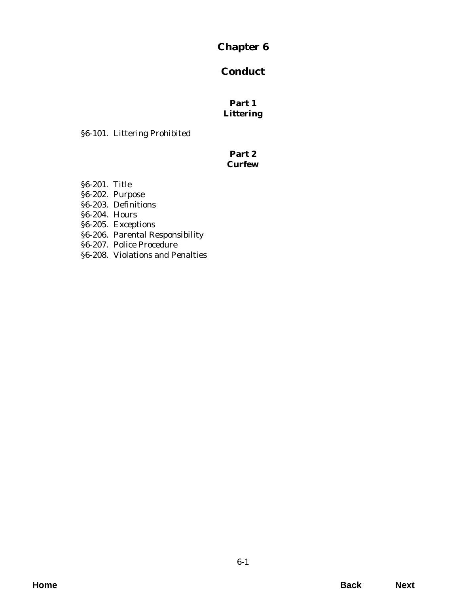# **Chapter 6**

# **Conduct**

## **Part 1 Littering**

[§6-101. Littering Prohibited](#page-2-0)

## **Part 2 Curfew**

- §6-201. Title
- §6-202. Purpose
- [§6-203. Definitions](#page-4-0)
- §6-204. Hours
- [§6-205. Exceptions](#page-5-0)
- §6-206. Parental Responsibility
- §6-207. Police Procedure
- [§6-208. Violations and Penalties](#page-7-0)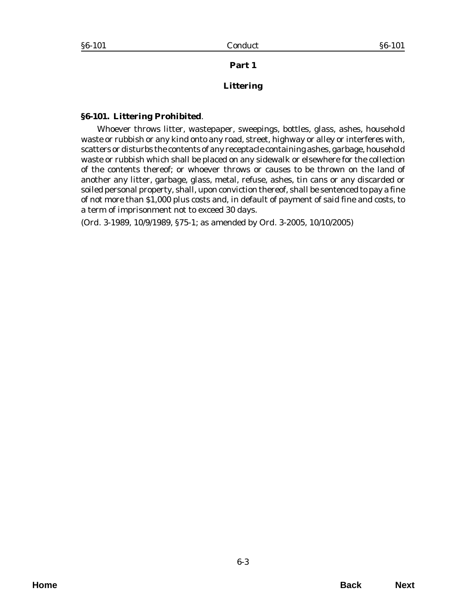**Part 1**

### **Littering**

#### <span id="page-2-0"></span>**§6-101. Littering Prohibited**.

Whoever throws litter, wastepaper, sweepings, bottles, glass, ashes, household waste or rubbish or any kind onto any road, street, highway or alley or interferes with, scatters or disturbs the contents of any receptacle containing ashes, garbage, household waste or rubbish which shall be placed on any sidewalk or elsewhere for the collection of the contents thereof; or whoever throws or causes to be thrown on the land of another any litter, garbage, glass, metal, refuse, ashes, tin cans or any discarded or soiled personal property, shall, upon conviction thereof, shall be sentenced to pay a fine of not more than \$1,000 plus costs and, in default of payment of said fine and costs, to a term of imprisonment not to exceed 30 days.

(*Ord. 3-1989*, 10/9/1989, §75-1; as amended by *Ord. 3-2005*, 10/10/2005)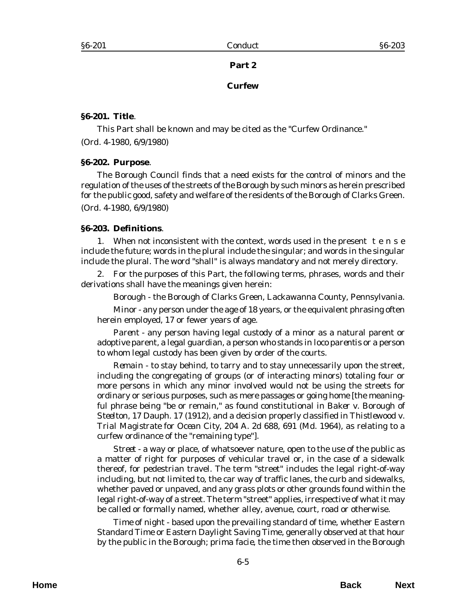#### **Part 2**

#### **Curfew**

#### <span id="page-4-0"></span>**§6-201. Title**.

This Part shall be known and may be cited as the "Curfew Ordinance." (*Ord. 4-1980,* 6/9/1980)

#### **§6-202. Purpose**.

The Borough Council finds that a need exists for the control of minors and the regulation of the uses of the streets of the Borough by such minors as herein prescribed for the public good, safety and welfare of the residents of the Borough of Clarks Green. (*Ord. 4-1980*, 6/9/1980)

#### **§6-203. Definitions**.

1. When not inconsistent with the context, words used in the present t e n s e include the future; words in the plural include the singular; and words in the singular include the plural. The word "shall" is always mandatory and not merely directory.

2. For the purposes of this Part, the following terms, phrases, words and their derivations shall have the meanings given herein:

*Borough* - the Borough of Clarks Green, Lackawanna County, Pennsylvania.

*Minor* - any person under the age of 18 years, or the equivalent phrasing often herein employed, 17 or fewer years of age.

*Parent* - any person having legal custody of a minor as a natural parent or adoptive parent, a legal guardian, a person who stands in *loco parentis* or a person to whom legal custody has been given by order of the courts.

*Remain* - to stay behind, to tarry and to stay unnecessarily upon the street, including the congregating of groups (or of interacting minors) totaling four or more persons in which any minor involved would not be using the streets for ordinary or serious purposes, such as mere passages or going home [the meaningful phrase being "be or remain," as found constitutional in *Baker v. Borough of Steelton*, 17 Dauph. 17 (1912), and a decision properly classified in *Thistlewood v. Trial Magistrate for Ocean City*, 204 A. 2d 688, 691 (Md. 1964), as relating to a curfew ordinance of the "remaining type"].

*Street* - a way or place, of whatsoever nature, open to the use of the public as a matter of right for purposes of vehicular travel or, in the case of a sidewalk thereof, for pedestrian travel. The term "street" includes the legal right-of-way including, but not limited to, the car way of traffic lanes, the curb and sidewalks, whether paved or unpaved, and any grass plots or other grounds found within the legal right-of-way of a street. The term "street" applies, irrespective of what it may be called or formally named, whether alley, avenue, court, road or otherwise.

*Time of night* - based upon the prevailing standard of time, whether Eastern Standard Time or Eastern Daylight Saving Time, generally observed at that hour by the public in the Borough; *prima facie*, the time then observed in the Borough

**Home Back Next**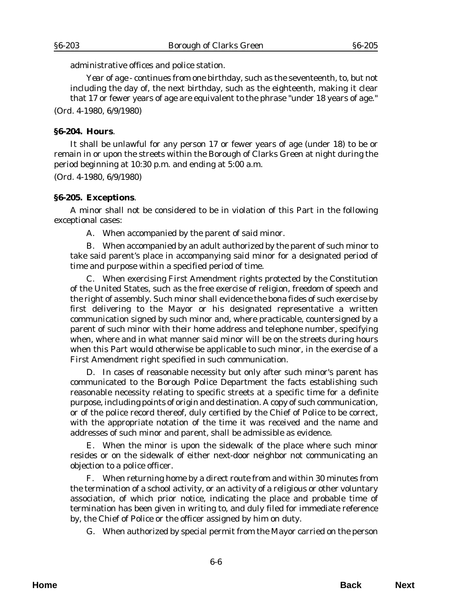<span id="page-5-0"></span>administrative offices and police station.

*Year of age* - continues from one birthday, such as the seventeenth, to, but not including the day of, the next birthday, such as the eighteenth, making it clear that 17 or fewer years of age are equivalent to the phrase "under 18 years of age."

(*Ord. 4-1980*, 6/9/1980)

#### **§6-204. Hours**.

It shall be unlawful for any person 17 or fewer years of age (under 18) to be or remain in or upon the streets within the Borough of Clarks Green at night during the period beginning at 10:30 p.m. and ending at 5:00 a.m.

(*Ord. 4-1980*, 6/9/1980)

#### **§6-205. Exceptions**.

A minor shall not be considered to be in violation of this Part in the following exceptional cases:

A. When accompanied by the parent of said minor.

B. When accompanied by an adult authorized by the parent of such minor to take said parent's place in accompanying said minor for a designated period of time and purpose within a specified period of time.

C. When exercising First Amendment rights protected by the Constitution of the United States, such as the free exercise of religion, freedom of speech and the right of assembly. Such minor shall evidence the bona fides of such exercise by first delivering to the Mayor or his designated representative a written communication signed by such minor and, where practicable, countersigned by a parent of such minor with their home address and telephone number, specifying when, where and in what manner said minor will be on the streets during hours when this Part would otherwise be applicable to such minor, in the exercise of a First Amendment right specified in such communication.

D. In cases of reasonable necessity but only after such minor's parent has communicated to the Borough Police Department the facts establishing such reasonable necessity relating to specific streets at a specific time for a definite purpose, including points of origin and destination. A copy of such communication, or of the police record thereof, duly certified by the Chief of Police to be correct, with the appropriate notation of the time it was received and the name and addresses of such minor and parent, shall be admissible as evidence.

E. When the minor is upon the sidewalk of the place where such minor resides or on the sidewalk of either next-door neighbor not communicating an objection to a police officer.

F. When returning home by a direct route from and within 30 minutes from the termination of a school activity, or an activity of a religious or other voluntary association, of which prior notice, indicating the place and probable time of termination has been given in writing to, and duly filed for immediate reference by, the Chief of Police or the officer assigned by him on duty.

G. When authorized by special permit from the Mayor carried on the person

**Home Back Next**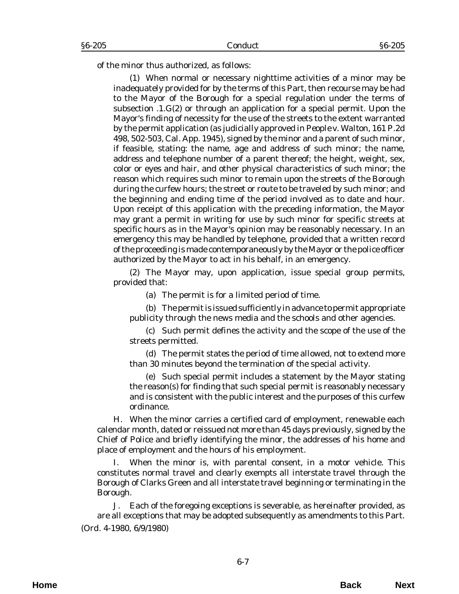of the minor thus authorized, as follows:

(1) When normal or necessary nighttime activities of a minor may be inadequately provided for by the terms of this Part, then recourse may be had to the Mayor of the Borough for a special regulation under the terms of subsection .1.G(2) or through an application for a special permit. Upon the Mayor's finding of necessity for the use of the streets to the extent warranted by the permit application (as judicially approved in *People v. Walton*, 161 P.2d 498, 502-503, Cal. App. 1945), signed by the minor and a parent of such minor, if feasible, stating: the name, age and address of such minor; the name, address and telephone number of a parent thereof; the height, weight, sex, color or eyes and hair, and other physical characteristics of such minor; the reason which requires such minor to remain upon the streets of the Borough during the curfew hours; the street or route to be traveled by such minor; and the beginning and ending time of the period involved as to date and hour. Upon receipt of this application with the preceding information, the Mayor may grant a permit in writing for use by such minor for specific streets at specific hours as in the Mayor's opinion may be reasonably necessary. In an emergency this may be handled by telephone, provided that a written record of the proceeding is made contemporaneously by the Mayor or the police officer authorized by the Mayor to act in his behalf, in an emergency.

(2) The Mayor may, upon application, issue special group permits, provided that:

(a) The permit is for a limited period of time.

(b) The permit is issued sufficiently in advance to permit appropriate publicity through the news media and the schools and other agencies.

(c) Such permit defines the activity and the scope of the use of the streets permitted.

(d) The permit states the period of time allowed, not to extend more than 30 minutes beyond the termination of the special activity.

(e) Such special permit includes a statement by the Mayor stating the reason(s) for finding that such special permit is reasonably necessary and is consistent with the public interest and the purposes of this curfew ordinance.

H. When the minor carries a certified card of employment, renewable each calendar month, dated or reissued not more than 45 days previously, signed by the Chief of Police and briefly identifying the minor, the addresses of his home and place of employment and the hours of his employment.

I. When the minor is, with parental consent, in a motor vehicle. This constitutes normal travel and clearly exempts all interstate travel through the Borough of Clarks Green and all interstate travel beginning or terminating in the Borough.

J. Each of the foregoing exceptions is severable, as hereinafter provided, as are all exceptions that may be adopted subsequently as amendments to this Part. (*Ord. 4-1980*, 6/9/1980)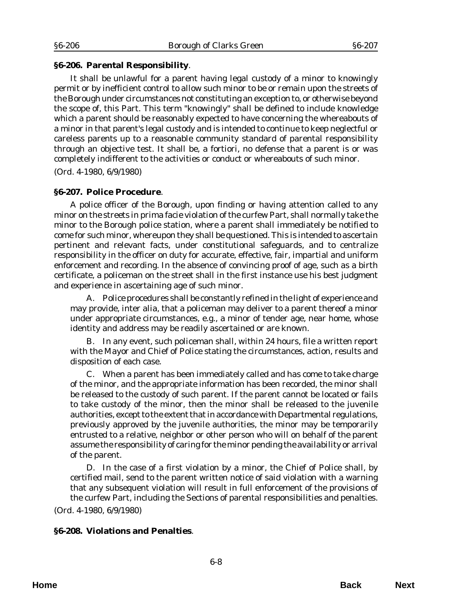### <span id="page-7-0"></span>**§6-206. Parental Responsibility**.

It shall be unlawful for a parent having legal custody of a minor to knowingly permit or by inefficient control to allow such minor to be or remain upon the streets of the Borough under circumstances not constituting an exception to, or otherwise beyond the scope of, this Part. This term "knowingly" shall be defined to include knowledge which a parent should be reasonably expected to have concerning the whereabouts of a minor in that parent's legal custody and is intended to continue to keep neglectful or careless parents up to a reasonable community standard of parental responsibility through an objective test. It shall be, a fortiori, no defense that a parent is or was completely indifferent to the activities or conduct or whereabouts of such minor.

(*Ord. 4-1980*, 6/9/1980)

### **§6-207. Police Procedure**.

A police officer of the Borough, upon finding or having attention called to any minor on the streets in prima facie violation of the curfew Part, shall normally take the minor to the Borough police station, where a parent shall immediately be notified to come for such minor, whereupon they shall be questioned. This is intended to ascertain pertinent and relevant facts, under constitutional safeguards, and to centralize responsibility in the officer on duty for accurate, effective, fair, impartial and uniform enforcement and recording. In the absence of convincing proof of age, such as a birth certificate, a policeman on the street shall in the first instance use his best judgment and experience in ascertaining age of such minor.

A. Police procedures shall be constantly refined in the light of experience and may provide, inter alia, that a policeman may deliver to a parent thereof a minor under appropriate circumstances, e.g., a minor of tender age, near home, whose identity and address may be readily ascertained or are known.

B. In any event, such policeman shall, within 24 hours, file a written report with the Mayor and Chief of Police stating the circumstances, action, results and disposition of each case.

C. When a parent has been immediately called and has come to take charge of the minor, and the appropriate information has been recorded, the minor shall be released to the custody of such parent. If the parent cannot be located or fails to take custody of the minor, then the minor shall be released to the juvenile authorities, except to the extent that in accordance with Departmental regulations, previously approved by the juvenile authorities, the minor may be temporarily entrusted to a relative, neighbor or other person who will on behalf of the parent assume the responsibility of caring for the minor pending the availability or arrival of the parent.

D. In the case of a first violation by a minor, the Chief of Police shall, by certified mail, send to the parent written notice of said violation with a warning that any subsequent violation will result in full enforcement of the provisions of the curfew Part, including the Sections of parental responsibilities and penalties.

(*Ord. 4-1980*, 6/9/1980)

#### **§6-208. Violations and Penalties**.